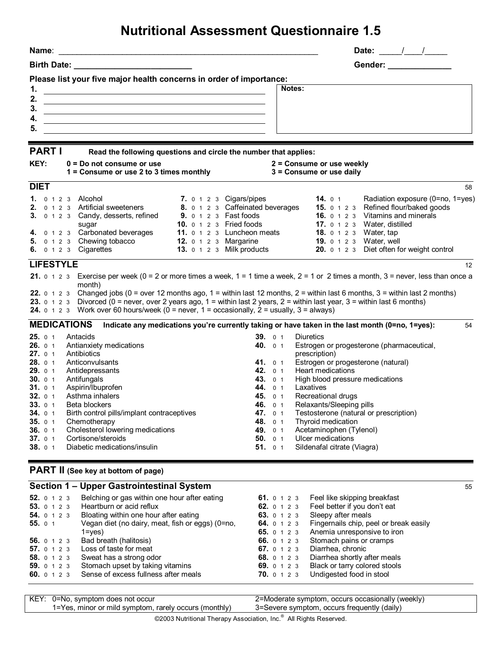## **Nutritional Assessment Questionnaire 1.5**

| Birth Date:<br>Gender: Samuel Control of the Control of the Control of the Control of the Control of the Control of the Control of the Control of the Control of the Control of the Control of the Control of the Control of the Control of t<br>Please list your five major health concerns in order of importance:<br>1.<br>Notes:<br>and the control of the control of the control of the control of the control of the control of the control of the<br>2.<br>the control of the control of the control of the control of the control of the control of the control of the control of the control of the control of the control of the control of the control of the control of the control<br>3.<br>4.<br><u> 1989 - Johann Stoff, amerikansk politiker (d. 1989)</u><br>5.<br><b>PART I</b><br>Read the following questions and circle the number that applies:<br>KEY:<br>$0 = Do$ not consume or use<br>2 = Consume or use weekly<br>1 = Consume or use 2 to 3 times monthly<br>3 = Consume or use daily<br><b>DIET</b><br>7. 0 1 2 3 Cigars/pipes<br><b>14.</b> $01$<br><b>1.</b> 0 1 2 3 Alcohol<br>8. 0 1 2 3 Caffeinated beverages<br>15. 0 1 2 3 Refined flour/baked goods<br>0 1 2 3 Artificial sweeteners<br>2.<br><b>16.</b> 0 1 2 3 Vitamins and minerals<br><b>9.</b> 0 1 2 3 Fast foods<br>0 1 2 3 Candy, desserts, refined<br>3.<br><b>10.</b> $0 \t1 2 \t3$ Fried foods<br>Water, distilled<br>17. $0 1 2 3$<br>sugar<br>4. 0 1 2 3 Carbonated beverages<br>11. 0 1 2 3 Luncheon meats<br><b>18.</b> $0 1 2 3$<br>Water, tap<br>5. $0 \t1 \t2 \t3$ Chewing tobacco<br>12. $0 \t1 \t2 \t3$ Margarine<br>Water, well<br><b>19.</b> $0 1 2 3$<br>20. 0 1 2 3 Diet often for weight control<br>6. 0 1 2 3 Cigarettes<br><b>13.</b> 0 1 2 3 Milk products<br><b>LIFESTYLE</b><br>21. $0 \t1 \t2 \t3$ Exercise per week ( $0 = 2$ or more times a week, $1 = 1$ time a week, $2 = 1$ or 2 times a month, $3 =$ never, less than once a<br>month)<br>22. $0 \t1 \t2 \t3$ Changed jobs ( $0 =$ over 12 months ago, $1 =$ within last 12 months, $2 =$ within last 6 months, $3 =$ within last 2 months)<br>23. 0 1 2 3 Divorced (0 = never, over 2 years ago, 1 = within last 2 years, 2 = within last year, 3 = within last 6 months)<br><b>24.</b> $\circ$ 1 2 3 Work over 60 hours/week (0 = never, 1 = occasionally, 2 = usually, 3 = always)<br><b>MEDICATIONS</b><br>Indicate any medications you're currently taking or have taken in the last month (0=no, 1=yes):<br><b>25.</b> $01$<br>Antacids<br>39.01<br>Diuretics<br>Antianxiety medications<br>Estrogen or progesterone (pharmaceutical,<br><b>26.</b> 0 1<br>40. 0 1<br>Antibiotics<br><b>27.</b> 0 1<br>prescription)<br>Estrogen or progesterone (natural)<br>28. 0 1<br>Anticonvulsants<br><b>41.</b> 0 1<br>Heart medications<br>42. 0 1<br>Antidepressants<br><b>29.</b> 0 1<br>Antifungals<br>High blood pressure medications<br>30.01<br>43.<br>0 <sub>1</sub><br>Aspirin/Ibuprofen<br>44.<br>Laxatives<br><b>31.</b> 0 1<br>0 <sub>1</sub><br>Asthma inhalers<br>Recreational drugs<br>32.01<br>45. 0 1<br>33.01<br>Beta blockers<br>46.<br>0 <sub>1</sub><br>Relaxants/Sleeping pills<br>Testosterone (natural or prescription)<br>34.01<br>Birth control pills/implant contraceptives<br>47.<br>0 <sub>1</sub><br>35.01<br>Thyroid medication<br>Chemotherapy<br>48.<br>0 <sub>1</sub><br>Cholesterol lowering medications<br>Acetaminophen (Tylenol)<br>36.01<br>49.<br>0 <sub>1</sub><br>Cortisone/steroids<br>Ulcer medications<br>50.<br>37.01<br>0 <sub>1</sub><br>38.01<br>Diabetic medications/insulin<br>51.<br>Sildenafal citrate (Viagra)<br>0 <sub>1</sub><br><b>PART II</b> (See key at bottom of page) | Name:                                        | Date: $\frac{1}{\sqrt{2}}$       |
|------------------------------------------------------------------------------------------------------------------------------------------------------------------------------------------------------------------------------------------------------------------------------------------------------------------------------------------------------------------------------------------------------------------------------------------------------------------------------------------------------------------------------------------------------------------------------------------------------------------------------------------------------------------------------------------------------------------------------------------------------------------------------------------------------------------------------------------------------------------------------------------------------------------------------------------------------------------------------------------------------------------------------------------------------------------------------------------------------------------------------------------------------------------------------------------------------------------------------------------------------------------------------------------------------------------------------------------------------------------------------------------------------------------------------------------------------------------------------------------------------------------------------------------------------------------------------------------------------------------------------------------------------------------------------------------------------------------------------------------------------------------------------------------------------------------------------------------------------------------------------------------------------------------------------------------------------------------------------------------------------------------------------------------------------------------------------------------------------------------------------------------------------------------------------------------------------------------------------------------------------------------------------------------------------------------------------------------------------------------------------------------------------------------------------------------------------------------------------------------------------------------------------------------------------------------------------------------------------------------------------------------------------------------------------------------------------------------------------------------------------------------------------------------------------------------------------------------------------------------------------------------------------------------------------------------------------------------------------------------------------------------------------------------------------------------------------------------------------------------------------------------------------------------------------------------------------------------------------------------------------------------------------------------------------------------------------------------------------------------------------------------------------------------------------------------------------------------------------------------------------------------------------------------------------------------------------------------------------------------------------------------------------------------------------------------------------------|----------------------------------------------|----------------------------------|
|                                                                                                                                                                                                                                                                                                                                                                                                                                                                                                                                                                                                                                                                                                                                                                                                                                                                                                                                                                                                                                                                                                                                                                                                                                                                                                                                                                                                                                                                                                                                                                                                                                                                                                                                                                                                                                                                                                                                                                                                                                                                                                                                                                                                                                                                                                                                                                                                                                                                                                                                                                                                                                                                                                                                                                                                                                                                                                                                                                                                                                                                                                                                                                                                                                                                                                                                                                                                                                                                                                                                                                                                                                                                                                            |                                              |                                  |
|                                                                                                                                                                                                                                                                                                                                                                                                                                                                                                                                                                                                                                                                                                                                                                                                                                                                                                                                                                                                                                                                                                                                                                                                                                                                                                                                                                                                                                                                                                                                                                                                                                                                                                                                                                                                                                                                                                                                                                                                                                                                                                                                                                                                                                                                                                                                                                                                                                                                                                                                                                                                                                                                                                                                                                                                                                                                                                                                                                                                                                                                                                                                                                                                                                                                                                                                                                                                                                                                                                                                                                                                                                                                                                            |                                              |                                  |
|                                                                                                                                                                                                                                                                                                                                                                                                                                                                                                                                                                                                                                                                                                                                                                                                                                                                                                                                                                                                                                                                                                                                                                                                                                                                                                                                                                                                                                                                                                                                                                                                                                                                                                                                                                                                                                                                                                                                                                                                                                                                                                                                                                                                                                                                                                                                                                                                                                                                                                                                                                                                                                                                                                                                                                                                                                                                                                                                                                                                                                                                                                                                                                                                                                                                                                                                                                                                                                                                                                                                                                                                                                                                                                            |                                              |                                  |
|                                                                                                                                                                                                                                                                                                                                                                                                                                                                                                                                                                                                                                                                                                                                                                                                                                                                                                                                                                                                                                                                                                                                                                                                                                                                                                                                                                                                                                                                                                                                                                                                                                                                                                                                                                                                                                                                                                                                                                                                                                                                                                                                                                                                                                                                                                                                                                                                                                                                                                                                                                                                                                                                                                                                                                                                                                                                                                                                                                                                                                                                                                                                                                                                                                                                                                                                                                                                                                                                                                                                                                                                                                                                                                            |                                              |                                  |
| <b>Section 1 - Upper Gastrointestinal System</b>                                                                                                                                                                                                                                                                                                                                                                                                                                                                                                                                                                                                                                                                                                                                                                                                                                                                                                                                                                                                                                                                                                                                                                                                                                                                                                                                                                                                                                                                                                                                                                                                                                                                                                                                                                                                                                                                                                                                                                                                                                                                                                                                                                                                                                                                                                                                                                                                                                                                                                                                                                                                                                                                                                                                                                                                                                                                                                                                                                                                                                                                                                                                                                                                                                                                                                                                                                                                                                                                                                                                                                                                                                                           |                                              | 58                               |
|                                                                                                                                                                                                                                                                                                                                                                                                                                                                                                                                                                                                                                                                                                                                                                                                                                                                                                                                                                                                                                                                                                                                                                                                                                                                                                                                                                                                                                                                                                                                                                                                                                                                                                                                                                                                                                                                                                                                                                                                                                                                                                                                                                                                                                                                                                                                                                                                                                                                                                                                                                                                                                                                                                                                                                                                                                                                                                                                                                                                                                                                                                                                                                                                                                                                                                                                                                                                                                                                                                                                                                                                                                                                                                            |                                              | Radiation exposure (0=no, 1=yes) |
|                                                                                                                                                                                                                                                                                                                                                                                                                                                                                                                                                                                                                                                                                                                                                                                                                                                                                                                                                                                                                                                                                                                                                                                                                                                                                                                                                                                                                                                                                                                                                                                                                                                                                                                                                                                                                                                                                                                                                                                                                                                                                                                                                                                                                                                                                                                                                                                                                                                                                                                                                                                                                                                                                                                                                                                                                                                                                                                                                                                                                                                                                                                                                                                                                                                                                                                                                                                                                                                                                                                                                                                                                                                                                                            |                                              | 12                               |
|                                                                                                                                                                                                                                                                                                                                                                                                                                                                                                                                                                                                                                                                                                                                                                                                                                                                                                                                                                                                                                                                                                                                                                                                                                                                                                                                                                                                                                                                                                                                                                                                                                                                                                                                                                                                                                                                                                                                                                                                                                                                                                                                                                                                                                                                                                                                                                                                                                                                                                                                                                                                                                                                                                                                                                                                                                                                                                                                                                                                                                                                                                                                                                                                                                                                                                                                                                                                                                                                                                                                                                                                                                                                                                            |                                              |                                  |
|                                                                                                                                                                                                                                                                                                                                                                                                                                                                                                                                                                                                                                                                                                                                                                                                                                                                                                                                                                                                                                                                                                                                                                                                                                                                                                                                                                                                                                                                                                                                                                                                                                                                                                                                                                                                                                                                                                                                                                                                                                                                                                                                                                                                                                                                                                                                                                                                                                                                                                                                                                                                                                                                                                                                                                                                                                                                                                                                                                                                                                                                                                                                                                                                                                                                                                                                                                                                                                                                                                                                                                                                                                                                                                            |                                              | 54                               |
|                                                                                                                                                                                                                                                                                                                                                                                                                                                                                                                                                                                                                                                                                                                                                                                                                                                                                                                                                                                                                                                                                                                                                                                                                                                                                                                                                                                                                                                                                                                                                                                                                                                                                                                                                                                                                                                                                                                                                                                                                                                                                                                                                                                                                                                                                                                                                                                                                                                                                                                                                                                                                                                                                                                                                                                                                                                                                                                                                                                                                                                                                                                                                                                                                                                                                                                                                                                                                                                                                                                                                                                                                                                                                                            |                                              |                                  |
|                                                                                                                                                                                                                                                                                                                                                                                                                                                                                                                                                                                                                                                                                                                                                                                                                                                                                                                                                                                                                                                                                                                                                                                                                                                                                                                                                                                                                                                                                                                                                                                                                                                                                                                                                                                                                                                                                                                                                                                                                                                                                                                                                                                                                                                                                                                                                                                                                                                                                                                                                                                                                                                                                                                                                                                                                                                                                                                                                                                                                                                                                                                                                                                                                                                                                                                                                                                                                                                                                                                                                                                                                                                                                                            |                                              |                                  |
| 52. 0 1 2 3<br>Feel like skipping breakfast<br><b>61.</b> 0 1 2 3                                                                                                                                                                                                                                                                                                                                                                                                                                                                                                                                                                                                                                                                                                                                                                                                                                                                                                                                                                                                                                                                                                                                                                                                                                                                                                                                                                                                                                                                                                                                                                                                                                                                                                                                                                                                                                                                                                                                                                                                                                                                                                                                                                                                                                                                                                                                                                                                                                                                                                                                                                                                                                                                                                                                                                                                                                                                                                                                                                                                                                                                                                                                                                                                                                                                                                                                                                                                                                                                                                                                                                                                                                          | Belching or gas within one hour after eating | 55                               |

| <b>52.</b> 0 1 2 3 | Beiching or gas within one nour after eating     |                    | <b>b</b> 1. 0 1 2 3 Feel like skipping preakfast |
|--------------------|--------------------------------------------------|--------------------|--------------------------------------------------|
| <b>53.</b> 0 1 2 3 | Heartburn or acid reflux                         |                    | 62. 0 1 2 3 Feel better if you don't eat         |
| <b>54.</b> 0 1 2 3 | Bloating within one hour after eating            | <b>63.</b> 0 1 2 3 | Sleepy after meals                               |
| <b>55.</b> 0 1     | Vegan diet (no dairy, meat, fish or eggs) (0=no, | <b>64.</b> 0 1 2 3 | Fingernails chip, peel or break easily           |
|                    | $1 = ves$                                        | <b>65.</b> 0 1 2 3 | Anemia unresponsive to iron                      |
| <b>56.</b> 0 1 2 3 | Bad breath (halitosis)                           | <b>66.</b> 0 1 2 3 | Stomach pains or cramps                          |
| 57. 0 1 2 3        | Loss of taste for meat                           | 67. 0 1 2 3        | Diarrhea, chronic                                |
| 58. 0 1 2 3        | Sweat has a strong odor                          | 68.0123            | Diarrhea shortly after meals                     |
| <b>59.</b> 0 1 2 3 | Stomach upset by taking vitamins                 |                    | 69. 0 1 2 3 Black or tarry colored stools        |
| 60. 0 1 2 3        | Sense of excess fullness after meals             | <b>70.</b> 0 1 2 3 | Undigested food in stool                         |
|                    |                                                  |                    |                                                  |

KEY: 0=No, symptom does not occur 1=Yes, minor or mild symptom, rarely occurs (monthly) 2=Moderate symptom, occurs occasionally (weekly) 3=Severe symptom, occurs frequently (daily)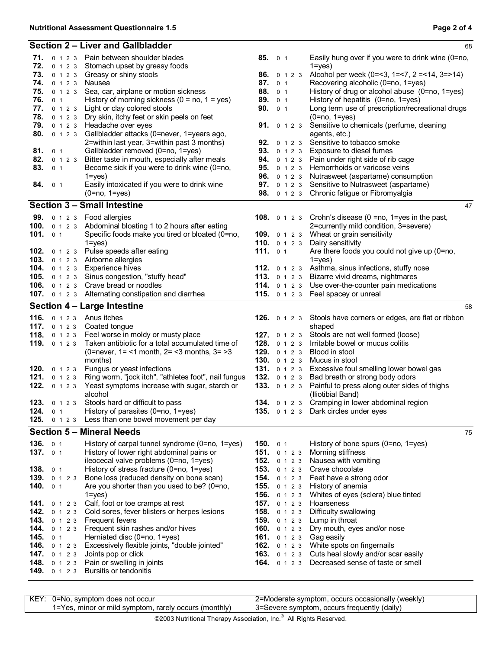|                   |                       | Section 2 - Liver and Gallbladder                                |                       |                |  | 68                                                                      |
|-------------------|-----------------------|------------------------------------------------------------------|-----------------------|----------------|--|-------------------------------------------------------------------------|
|                   |                       | 71. 0 1 2 3 Pain between shoulder blades                         | 85. 0 1               |                |  | Easily hung over if you were to drink wine (0=no,                       |
| 72.               | 0 1 2 3               | Stomach upset by greasy foods                                    |                       |                |  | $1 = yes$                                                               |
| 73.               | 0 1 2 3               | Greasy or shiny stools                                           | <b>86.</b> 0 1 2 3    |                |  | Alcohol per week (0=<3, 1=<7, 2 =<14, 3=>14)                            |
| 74.               | 0 1 2 3               | Nausea                                                           | 87.                   | 0 <sub>1</sub> |  | Recovering alcoholic (0=no, 1=yes)                                      |
| 75.               | 0 1 2 3               | Sea, car, airplane or motion sickness                            | 88. 0 1               |                |  | History of drug or alcohol abuse (0=no, 1=yes)                          |
| 76.               | 0 <sub>1</sub>        | History of morning sickness $(0 = no, 1 = yes)$                  | 89. 0 1               |                |  | History of hepatitis (0=no, 1=yes)                                      |
| 77.               |                       | 0 1 2 3 Light or clay colored stools                             | 90.                   | 0 <sub>1</sub> |  | Long term use of prescription/recreational drugs                        |
| 78.               | 0 1 2 3               | Dry skin, itchy feet or skin peels on feet                       |                       |                |  | $(0=no, 1=yes)$                                                         |
| 79.<br>80.        | 0 1 2 3<br>0 1 2 3    | Headache over eyes<br>Gallbladder attacks (0=never, 1=years ago, |                       |                |  | 91. 0 1 2 3 Sensitive to chemicals (perfume, cleaning                   |
|                   |                       | 2=within last year, 3=within past 3 months)                      |                       |                |  | agents, etc.)<br>92. 0 1 2 3 Sensitive to tobacco smoke                 |
| 81.               | 0 <sub>1</sub>        | Gallbladder removed (0=no, 1=yes)                                |                       |                |  | 93. 0 1 2 3 Exposure to diesel fumes                                    |
| 82.               | 0 1 2 3               | Bitter taste in mouth, especially after meals                    |                       |                |  | 94. 0 1 2 3 Pain under right side of rib cage                           |
| 83.               | 0 <sub>1</sub>        | Become sick if you were to drink wine (0=no,                     |                       |                |  | 95. 0 1 2 3 Hemorrhoids or varicose veins                               |
|                   |                       | $1 = yes$ )                                                      |                       |                |  | 96. 0 1 2 3 Nutrasweet (aspartame) consumption                          |
| 84.               | 0 <sub>1</sub>        | Easily intoxicated if you were to drink wine                     |                       |                |  | 97. 0 1 2 3 Sensitive to Nutrasweet (aspartame)                         |
|                   |                       | $(0=no, 1=yes)$                                                  |                       |                |  | 98. 0 1 2 3 Chronic fatigue or Fibromyalgia                             |
|                   |                       | <b>Section 3 - Small Intestine</b>                               |                       |                |  | 47                                                                      |
| 99.               |                       | 0 1 2 3 Food allergies                                           |                       |                |  | <b>108.</b> $\circ$ 1 2 3 Crohn's disease (0 = no, 1 = yes in the past, |
|                   |                       | 100. 0 1 2 3 Abdominal bloating 1 to 2 hours after eating        |                       |                |  | 2=currently mild condition, 3=severe)                                   |
| 101. $01$         |                       | Specific foods make you tired or bloated (0=no,                  |                       |                |  | 109. 0 1 2 3 Wheat or grain sensitivity                                 |
|                   |                       | $1 = yes$                                                        |                       |                |  | 110. 0 1 2 3 Dairy sensitivity                                          |
| 102.              |                       | 0 1 2 3 Pulse speeds after eating                                | 111. $01$             |                |  | Are there foods you could not give up (0=no,                            |
|                   |                       | 103. 0 1 2 3 Airborne allergies                                  |                       |                |  | $1 = yes$ )                                                             |
|                   | <b>104.</b> 0 1 2 3   | Experience hives                                                 |                       |                |  | 112. 0 1 2 3 Asthma, sinus infections, stuffy nose                      |
| 105.              | 0 1 2 3               | Sinus congestion, "stuffy head"                                  |                       |                |  | 113. 0 1 2 3 Bizarre vivid dreams, nightmares                           |
|                   |                       | 106. 0 1 2 3 Crave bread or noodles                              |                       |                |  | 114. 0 1 2 3 Use over-the-counter pain medications                      |
|                   |                       | 107. 0 1 2 3 Alternating constipation and diarrhea               |                       |                |  | 115. 0 1 2 3 Feel spacey or unreal                                      |
|                   |                       | Section 4 - Large Intestine                                      |                       |                |  | 58                                                                      |
|                   |                       | 116. 0 1 2 3 Anus itches                                         |                       |                |  | 126. 0 1 2 3 Stools have corners or edges, are flat or ribbon           |
|                   | <b>117.</b> $0 1 2 3$ | Coated tongue                                                    |                       |                |  | shaped                                                                  |
|                   |                       | 118. 0 1 2 3 Feel worse in moldy or musty place                  |                       |                |  | 127. 0 1 2 3 Stools are not well formed (loose)                         |
|                   | 119. 0 1 2 3          | Taken antibiotic for a total accumulated time of                 | <b>128.</b> $0 1 2 3$ |                |  | Irritable bowel or mucus colitis                                        |
|                   |                       | (0=never, $1 = 1$ month, $2 = 3$ months, $3 = 3$                 | 129. 0 1 2 3          |                |  | Blood in stool                                                          |
|                   |                       | months)                                                          | 130. 0 1 2 3          |                |  | Mucus in stool                                                          |
|                   |                       | 120. 0 1 2 3 Fungus or yeast infections                          |                       |                |  | 131. 0 1 2 3 Excessive foul smelling lower bowel gas                    |
|                   | 121. $0 1 2 3$        | Ring worm, "jock itch", "athletes foot", nail fungus             | 133. 0 1 2 3          |                |  | 132. 0 1 2 3 Bad breath or strong body odors                            |
| 122.              | 0 1 2 3               | Yeast symptoms increase with sugar, starch or<br>alcohol         |                       |                |  | Painful to press along outer sides of thighs<br>(Iliotibial Band)       |
|                   | 123. 0 1 2 3          | Stools hard or difficult to pass                                 |                       |                |  | 134. 0 1 2 3 Cramping in lower abdominal region                         |
| 124.              | 0 <sub>1</sub>        | History of parasites (0=no, 1=yes)                               |                       |                |  | 135. 0 1 2 3 Dark circles under eyes                                    |
| 125.              | 0 1 2 3               | Less than one bowel movement per day                             |                       |                |  |                                                                         |
|                   |                       | <b>Section 5 - Mineral Needs</b>                                 |                       |                |  | 75                                                                      |
| <b>136.</b> $0 1$ |                       | History of carpal tunnel syndrome (0=no, 1=yes)                  | 150. $01$             |                |  | History of bone spurs (0=no, 1=yes)                                     |
| 137. $01$         |                       | History of lower right abdominal pains or                        | 151. 0 1 2 3          |                |  | Morning stiffness                                                       |
|                   |                       | ileocecal valve problems (0=no, 1=yes)                           | 152. 0 1 2 3          |                |  | Nausea with vomiting                                                    |
| 138. $01$         |                       | History of stress fracture (0=no, 1=yes)                         | <b>153.</b> 0 1 2 3   |                |  | Crave chocolate                                                         |
|                   | <b>139.</b> 0 1 2 3   | Bone loss (reduced density on bone scan)                         | <b>154.</b> 0 1 2 3   |                |  | Feet have a strong odor                                                 |
| <b>140.</b> $0.1$ |                       | Are you shorter than you used to be? (0=no,                      | 155. 0 1 2 3          |                |  | History of anemia                                                       |
|                   |                       | $1 = yes$ )                                                      | <b>156.</b> 0 1 2 3   |                |  | Whites of eyes (sclera) blue tinted                                     |
|                   | <b>141.</b> $0 1 2 3$ | Calf, foot or toe cramps at rest                                 | 157. $0 1 2 3$        |                |  | Hoarseness                                                              |
| 142.              | 0 1 2 3               | Cold sores, fever blisters or herpes lesions                     | 158. 0 1 2 3          |                |  | Difficulty swallowing                                                   |
|                   | 143. 0 1 2 3          | Frequent fevers                                                  | <b>159.</b> 0 1 2 3   |                |  | Lump in throat                                                          |
|                   | <b>144.</b> 0 1 2 3   | Frequent skin rashes and/or hives                                | <b>160.</b> $0 1 2 3$ |                |  | Dry mouth, eyes and/or nose                                             |
| 145.              | 0 <sub>1</sub>        | Herniated disc (0=no, 1=yes)                                     | 161. $0 1 2 3$        |                |  | Gag easily                                                              |
|                   | 146. 0 1 2 3          | Excessively flexible joints, "double jointed"                    |                       |                |  | 162. 0 1 2 3 White spots on fingernails                                 |
|                   | 147. $0 1 2 3$        | Joints pop or click                                              |                       |                |  | 163. 0 1 2 3 Cuts heal slowly and/or scar easily                        |
|                   | <b>148.</b> 0 1 2 3   | Pain or swelling in joints                                       | <b>164.</b> 0 1 2 3   |                |  | Decreased sense of taste or smell                                       |
|                   | 149. 0 1 2 3          | Bursitis or tendonitis                                           |                       |                |  |                                                                         |

KEY: 0=No, symptom does not occur 1=Yes, minor or mild symptom, rarely occurs (monthly)

2=Moderate symptom, occurs occasionally (weekly) 3=Severe symptom, occurs frequently (daily)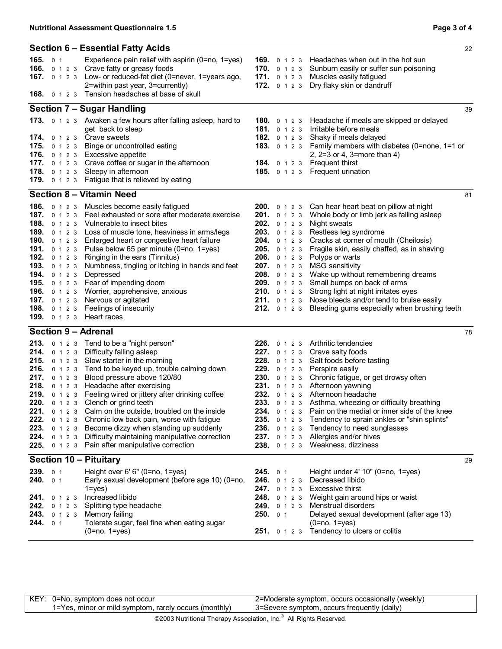|                                                                                                                                                                                        | Section 6 - Essential Fatty Acids                                                                                                                                                                                                                                                                                                                                                                                                                                                                                                                                                                                               |                                                                                                                                                                                                                                            |  | 22                                                                                                                                                                                                                                                                                                                                                                                                                                                                         |
|----------------------------------------------------------------------------------------------------------------------------------------------------------------------------------------|---------------------------------------------------------------------------------------------------------------------------------------------------------------------------------------------------------------------------------------------------------------------------------------------------------------------------------------------------------------------------------------------------------------------------------------------------------------------------------------------------------------------------------------------------------------------------------------------------------------------------------|--------------------------------------------------------------------------------------------------------------------------------------------------------------------------------------------------------------------------------------------|--|----------------------------------------------------------------------------------------------------------------------------------------------------------------------------------------------------------------------------------------------------------------------------------------------------------------------------------------------------------------------------------------------------------------------------------------------------------------------------|
| <b>165.</b> $\theta$ 1                                                                                                                                                                 | Experience pain relief with aspirin (0=no, 1=yes)<br>166. 0 1 2 3 Crave fatty or greasy foods<br>167. 0 1 2 3 Low- or reduced-fat diet (0=never, 1=years ago,<br>2=within past year, 3=currently)<br><b>168.</b> 0 1 2 3 Tension headaches at base of skull                                                                                                                                                                                                                                                                                                                                                                     | <b>169.</b> 0 1 2 3<br>170. 0 1 2 3<br>171. $0 1 2 3$<br>172. 0 1 2 3                                                                                                                                                                      |  | Headaches when out in the hot sun<br>Sunburn easily or suffer sun poisoning<br>Muscles easily fatigued<br>Dry flaky skin or dandruff                                                                                                                                                                                                                                                                                                                                       |
|                                                                                                                                                                                        | <b>Section 7 - Sugar Handling</b>                                                                                                                                                                                                                                                                                                                                                                                                                                                                                                                                                                                               |                                                                                                                                                                                                                                            |  | 39                                                                                                                                                                                                                                                                                                                                                                                                                                                                         |
| <b>174.</b> 0 1 2 3 Crave sweets<br><b>175.</b> $0 1 2 3$<br><b>178.</b> $0 1 2 3$                                                                                                     | 173. 0 1 2 3 Awaken a few hours after falling asleep, hard to<br>get back to sleep<br>Binge or uncontrolled eating<br>176. 0 1 2 3 Excessive appetite<br>177. 0 1 2 3 Crave coffee or sugar in the afternoon<br>Sleepy in afternoon<br>179. 0 1 2 3 Fatigue that is relieved by eating                                                                                                                                                                                                                                                                                                                                          | <b>180.</b> $0 1 2 3$<br><b>181.</b> $0 1 2 3$<br>182. 0 1 2 3<br><b>185.</b> $0 1 2 3$                                                                                                                                                    |  | Headache if meals are skipped or delayed<br>Irritable before meals<br>Shaky if meals delayed<br>183. 0 1 2 3 Family members with diabetes (0=none, 1=1 or<br>2, $2=3$ or 4, $3=$ more than 4)<br><b>184.</b> 0 1 2 3 Frequent thirst<br>Frequent urination                                                                                                                                                                                                                 |
|                                                                                                                                                                                        | <b>Section 8 - Vitamin Need</b>                                                                                                                                                                                                                                                                                                                                                                                                                                                                                                                                                                                                 |                                                                                                                                                                                                                                            |  | 81                                                                                                                                                                                                                                                                                                                                                                                                                                                                         |
| <b>187.</b> $0 1 2 3$<br>189. 0 1 2 3<br><b>190.</b> 0 1 2 3<br>192. 0 1 2 3<br>193. 0 1 2 3<br><b>194.</b> 0 1 2 3<br><b>197.</b> 0 1 2 3<br>198. 0 1 2 3<br>199. 0 1 2 3 Heart races | 186. 0 1 2 3 Muscles become easily fatigued<br>Feel exhausted or sore after moderate exercise<br><b>188.</b> 0 1 2 3 Vulnerable to insect bites<br>Loss of muscle tone, heaviness in arms/legs<br>Enlarged heart or congestive heart failure<br>191. 0 1 2 3 Pulse below 65 per minute (0=no, 1=yes)<br>Ringing in the ears (Tinnitus)<br>Numbness, tingling or itching in hands and feet<br>Depressed<br>195. 0 1 2 3 Fear of impending doom<br>196. 0 1 2 3 Worrier, apprehensive, anxious<br>Nervous or agitated<br>Feelings of insecurity                                                                                   | 200. 0 1 2 3<br><b>201.</b> 0 1 2 3<br>202. 0 1 2 3<br>203. 0 1 2 3<br><b>204.</b> 0 1 2 3<br>205. 0 1 2 3<br>206. 0 1 2 3<br>207. 0 1 2 3<br>208. 0 1 2 3<br>209. 0 1 2 3<br><b>210.</b> $0 1 2 3$<br><b>211.</b> 0 1 2 3<br>212. 0 1 2 3 |  | Can hear heart beat on pillow at night<br>Whole body or limb jerk as falling asleep<br>Night sweats<br>Restless leg syndrome<br>Cracks at corner of mouth (Cheilosis)<br>Fragile skin, easily chaffed, as in shaving<br>Polyps or warts<br><b>MSG</b> sensitivity<br>Wake up without remembering dreams<br>Small bumps on back of arms<br>Strong light at night irritates eyes<br>Nose bleeds and/or tend to bruise easily<br>Bleeding gums especially when brushing teeth |
| <b>Section 9 - Adrenal</b>                                                                                                                                                             |                                                                                                                                                                                                                                                                                                                                                                                                                                                                                                                                                                                                                                 |                                                                                                                                                                                                                                            |  | 78                                                                                                                                                                                                                                                                                                                                                                                                                                                                         |
| 216.<br>217. 0 1 2 3<br>220.<br>222.<br>223.<br>224.<br>0 1 2 3<br>225.                                                                                                                | 213. 0 1 2 3 Tend to be a "night person"<br>214. 0 1 2 3 Difficulty falling asleep<br>215. 0 1 2 3 Slow starter in the morning<br>0 1 2 3 Tend to be keyed up, trouble calming down<br>Blood pressure above 120/80<br>218. 0 1 2 3 Headache after exercising<br>219. 0 1 2 3 Feeling wired or jittery after drinking coffee<br>0 1 2 3 Clench or grind teeth<br>221. 0 1 2 3 Calm on the outside, troubled on the inside<br>0 1 2 3 Chronic low back pain, worse with fatigue<br>0 1 2 3 Become dizzy when standing up suddenly<br>Difficulty maintaining manipulative correction<br>0 1 2 3 Pain after manipulative correction | 226. 0 1 2 3<br><b>227.</b> 0 1 2 3<br>228. 0 1 2 3<br><b>229.</b> 0 1 2 3<br>230. 0 1 2 3<br>232. 0 1 2 3<br>233. 0 1 2 3<br><b>235.</b> 0 1 2 3<br><b>236.</b> 0 1 2 3<br><b>237.</b> 0 1 2 3<br><b>238.</b> 0 1 2 3                     |  | Arthritic tendencies<br>Crave salty foods<br>Salt foods before tasting<br>Perspire easily<br>Chronic fatigue, or get drowsy often<br>231. 0 1 2 3 Afternoon yawning<br>Afternoon headache<br>Asthma, wheezing or difficulty breathing<br>234. 0 1 2 3 Pain on the medial or inner side of the knee<br>Tendency to sprain ankles or "shin splints"<br>Tendency to need sunglasses<br>Allergies and/or hives<br>Weakness, dizziness                                          |
| <b>Section 10 - Pituitary</b>                                                                                                                                                          |                                                                                                                                                                                                                                                                                                                                                                                                                                                                                                                                                                                                                                 |                                                                                                                                                                                                                                            |  | 29                                                                                                                                                                                                                                                                                                                                                                                                                                                                         |
| 239. 0 1<br>240.<br>0 <sub>1</sub><br><b>241.</b> $0 1 2 3$<br>242.<br>0 1 2 3<br>243.<br>0 1 2 3<br>244.<br>0 <sub>1</sub>                                                            | Height over 6' 6" (0=no, 1=yes)<br>Early sexual development (before age 10) (0=no,<br>$1 = yes$ )<br>Increased libido<br>Splitting type headache<br>Memory failing<br>Tolerate sugar, feel fine when eating sugar<br>$(0=no, 1=yes)$                                                                                                                                                                                                                                                                                                                                                                                            | 245.01<br>246. 0 1 2 3<br>247. 0 1 2 3<br>248. 0 1 2 3<br>249. 0 1 2 3<br>250.01<br><b>251.</b> 0 1 2 3                                                                                                                                    |  | Height under 4' 10" (0=no, 1=yes)<br>Decreased libido<br>Excessive thirst<br>Weight gain around hips or waist<br>Menstrual disorders<br>Delayed sexual development (after age 13)<br>$(0 = no, 1 = yes)$<br>Tendency to ulcers or colitis                                                                                                                                                                                                                                  |

KEY: 0=No, symptom does not occur 1=Yes, minor or mild symptom, rarely occurs (monthly)

2=Moderate symptom, occurs occasionally (weekly) 3=Severe symptom, occurs frequently (daily)